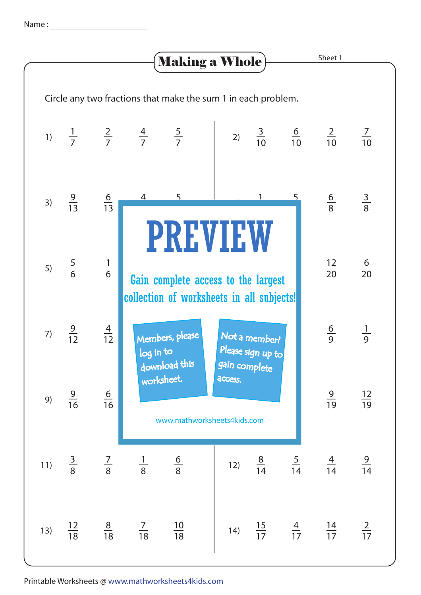